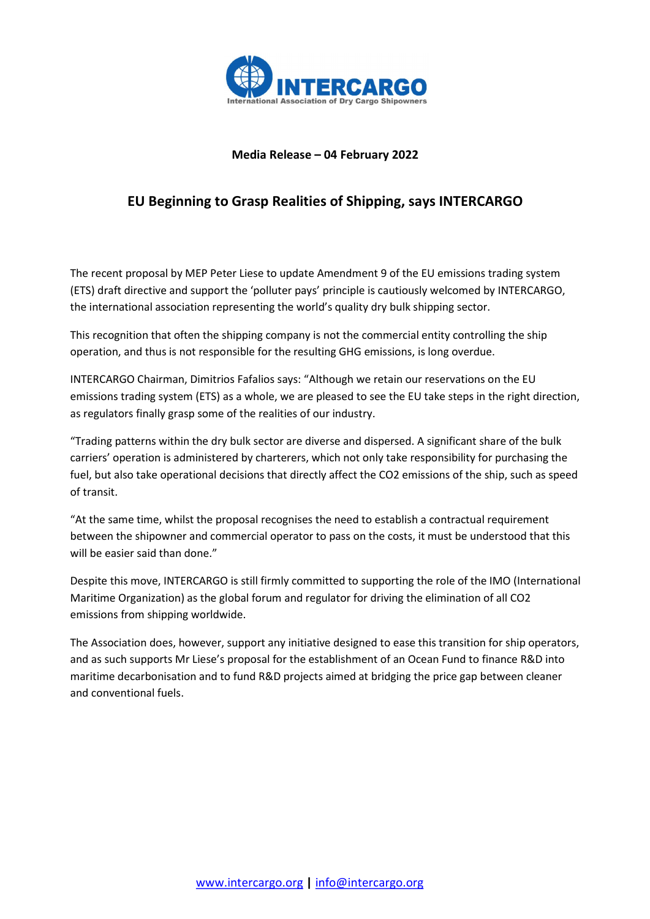

## Media Release – 04 February 2022

## EU Beginning to Grasp Realities of Shipping, says INTERCARGO

The recent proposal by MEP Peter Liese to update Amendment 9 of the EU emissions trading system (ETS) draft directive and support the 'polluter pays' principle is cautiously welcomed by INTERCARGO, the international association representing the world's quality dry bulk shipping sector.

This recognition that often the shipping company is not the commercial entity controlling the ship operation, and thus is not responsible for the resulting GHG emissions, is long overdue.

INTERCARGO Chairman, Dimitrios Fafalios says: "Although we retain our reservations on the EU emissions trading system (ETS) as a whole, we are pleased to see the EU take steps in the right direction, as regulators finally grasp some of the realities of our industry.

"Trading patterns within the dry bulk sector are diverse and dispersed. A significant share of the bulk carriers' operation is administered by charterers, which not only take responsibility for purchasing the fuel, but also take operational decisions that directly affect the CO2 emissions of the ship, such as speed of transit.

"At the same time, whilst the proposal recognises the need to establish a contractual requirement between the shipowner and commercial operator to pass on the costs, it must be understood that this will be easier said than done."

Despite this move, INTERCARGO is still firmly committed to supporting the role of the IMO (International Maritime Organization) as the global forum and regulator for driving the elimination of all CO2 emissions from shipping worldwide.

The Association does, however, support any initiative designed to ease this transition for ship operators, and as such supports Mr Liese's proposal for the establishment of an Ocean Fund to finance R&D into maritime decarbonisation and to fund R&D projects aimed at bridging the price gap between cleaner and conventional fuels.